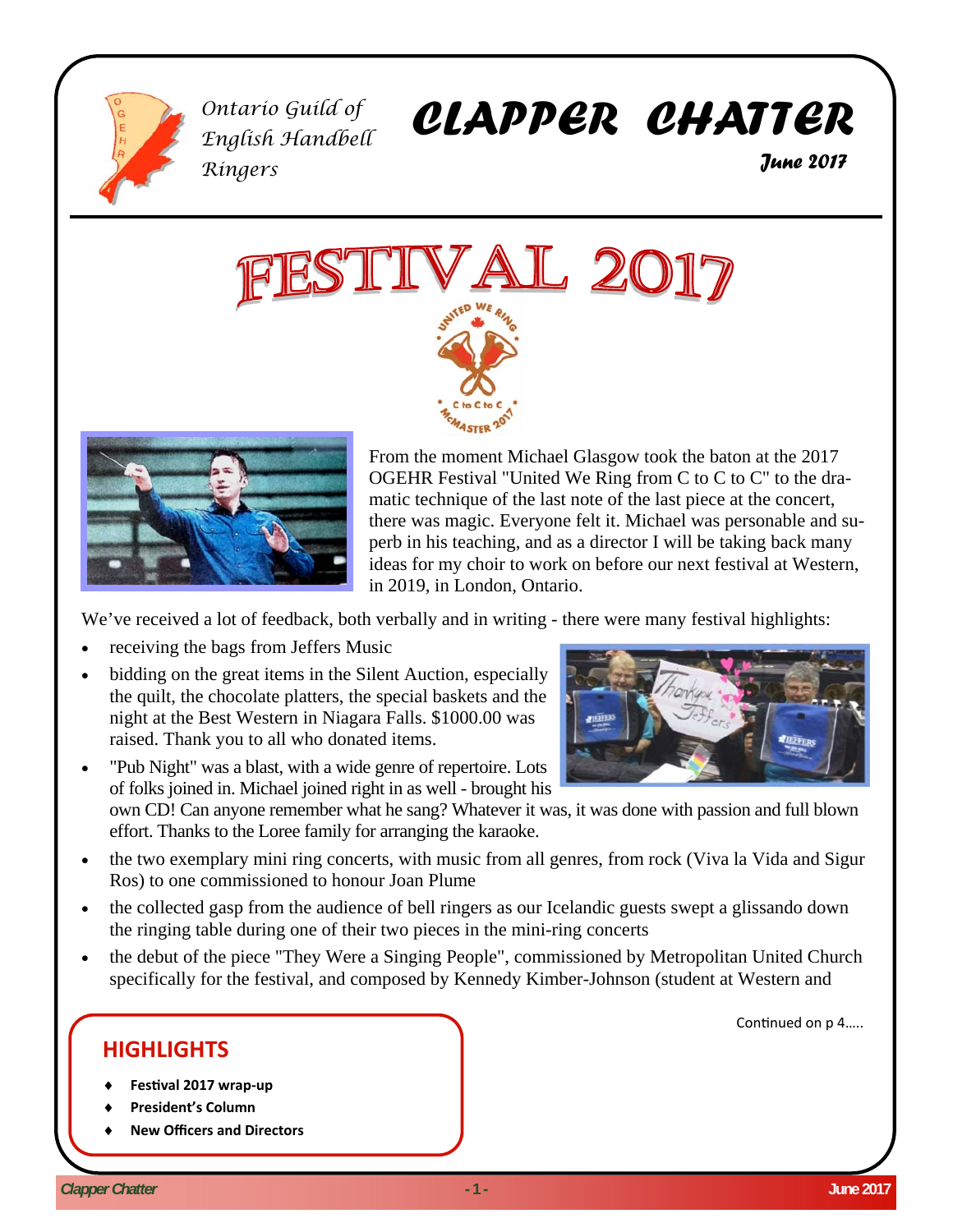

*Ontario Guild of English Handbell Ringers* 

# *CLAPPER CHATTER*

 *June 2017* 





From the moment Michael Glasgow took the baton at the 2017 OGEHR Festival "United We Ring from C to C to C" to the dramatic technique of the last note of the last piece at the concert, there was magic. Everyone felt it. Michael was personable and superb in his teaching, and as a director I will be taking back many ideas for my choir to work on before our next festival at Western, in 2019, in London, Ontario.

We've received a lot of feedback, both verbally and in writing - there were many festival highlights:

- receiving the bags from Jeffers Music
- bidding on the great items in the Silent Auction, especially the quilt, the chocolate platters, the special baskets and the night at the Best Western in Niagara Falls. \$1000.00 was raised. Thank you to all who donated items.
- "Pub Night" was a blast, with a wide genre of repertoire. Lots of folks joined in. Michael joined right in as well - brought his own CD! Can anyone remember what he sang? Whatever it was, it was done with passion and full blown effort. Thanks to the Loree family for arranging the karaoke.
- the two exemplary mini ring concerts, with music from all genres, from rock (Viva la Vida and Sigur Ros) to one commissioned to honour Joan Plume
- the collected gasp from the audience of bell ringers as our Icelandic guests swept a glissando down the ringing table during one of their two pieces in the mini-ring concerts
- the debut of the piece "They Were a Singing People", commissioned by Metropolitan United Church specifically for the festival, and composed by Kennedy Kimber-Johnson (student at Western and

## **HIGHLIGHTS**

- **FesƟval 2017 wrap‐up**
- **President's Column**
- **New Officers and Directors**



Continued on p 4.....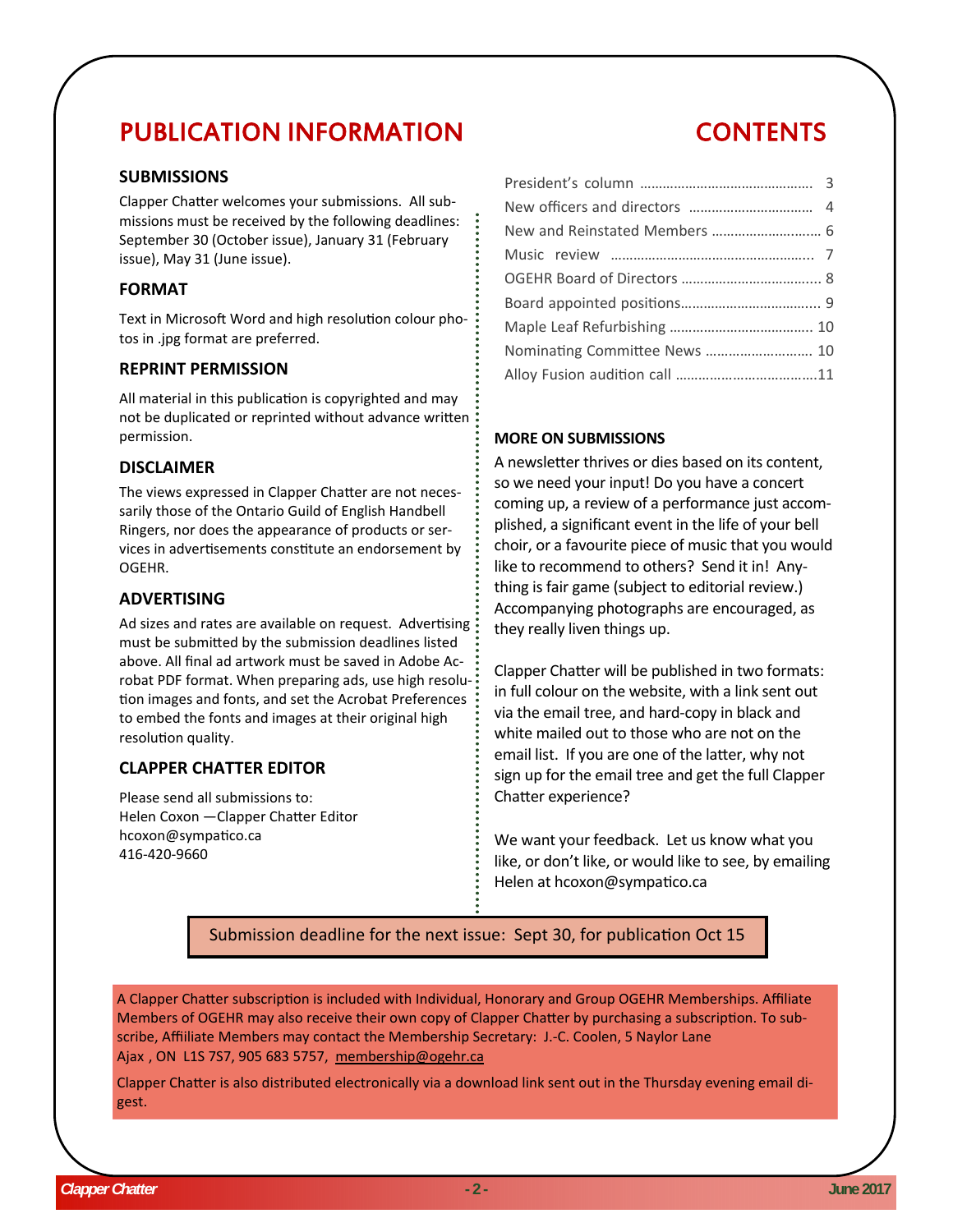## PUBLICATION INFORMATION

## **SUBMISSIONS**

Clapper Chatter welcomes your submissions. All submissions must be received by the following deadlines: September 30 (October issue), January 31 (February issue), May 31 (June issue).

#### **FORMAT**

Text in Microsoft Word and high resolution colour photos in .jpg format are preferred.

#### **REPRINT PERMISSION**

All material in this publication is copyrighted and may not be duplicated or reprinted without advance written permission.

#### **DISCLAIMER**

The views expressed in Clapper Chatter are not necessarily those of the Ontario Guild of English Handbell Ringers, nor does the appearance of products or services in advertisements constitute an endorsement by OGEHR.

#### **ADVERTISING**

Ad sizes and rates are available on request. Advertising must be submitted by the submission deadlines listed above. All final ad artwork must be saved in Adobe Acrobat PDF format. When preparing ads, use high resolution images and fonts, and set the Acrobat Preferences to embed the fonts and images at their original high resolution quality.

## **CLAPPER CHATTER EDITOR**

Please send all submissions to: Helen Coxon - Clapper Chatter Editor hcoxon@sympatico.ca 416-420-9660

## CONTENTS

| Nominating Committee News  10 |  |
|-------------------------------|--|
|                               |  |
|                               |  |

#### **MORE ON SUBMISSIONS**

A newsletter thrives or dies based on its content, so we need your input! Do you have a concert coming up, a review of a performance just accomplished, a significant event in the life of your bell choir, or a favourite piece of music that you would like to recommend to others? Send it in! Anything is fair game (subject to editorial review.) Accompanying photographs are encouraged, as they really liven things up.

Clapper Chatter will be published in two formats: in full colour on the website, with a link sent out via the email tree, and hard-copy in black and white mailed out to those who are not on the email list. If you are one of the latter, why not sign up for the email tree and get the full Clapper Chatter experience?

We want your feedback. Let us know what you like, or don't like, or would like to see, by emailing Helen at hcoxon@sympatico.ca

Submission deadline for the next issue: Sept 30, for publication Oct 15

A Clapper Chatter subscription is included with Individual, Honorary and Group OGEHR Memberships. Affiliate Members of OGEHR may also receive their own copy of Clapper Chatter by purchasing a subscription. To subscribe, Affiiliate Members may contact the Membership Secretary: J.-C. Coolen, 5 Naylor Lane Ajax , ON L1S 7S7, 905 683 5757, membership@ogehr.ca

Clapper Chatter is also distributed electronically via a download link sent out in the Thursday evening email digest.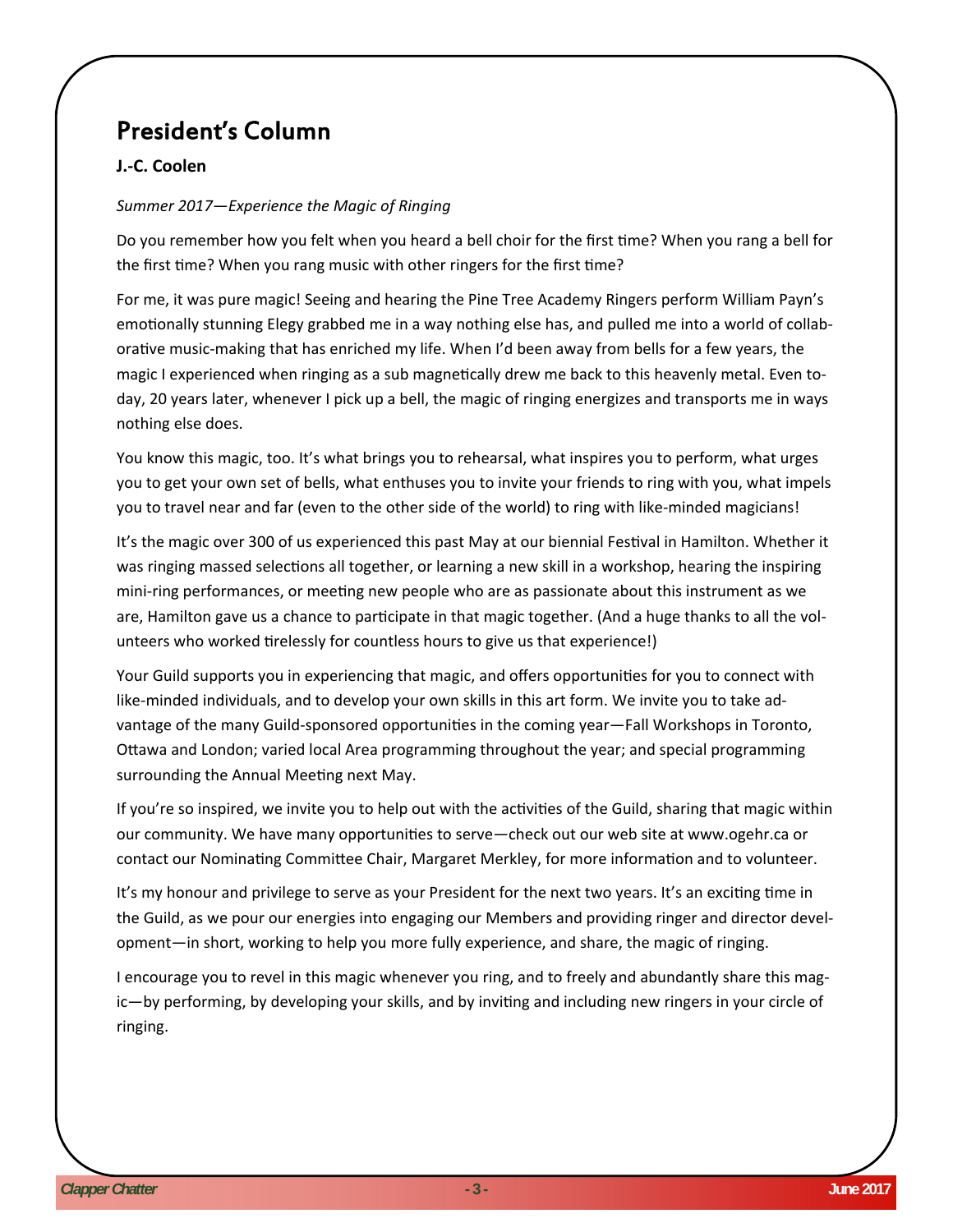## President's Column

## **J.‐C. Coolen**

## *Summer 2017—Experience the Magic of Ringing*

Do you remember how you felt when you heard a bell choir for the first time? When you rang a bell for the first time? When you rang music with other ringers for the first time?

For me, it was pure magic! Seeing and hearing the Pine Tree Academy Ringers perform William Payn's emotionally stunning Elegy grabbed me in a way nothing else has, and pulled me into a world of collaborative music-making that has enriched my life. When I'd been away from bells for a few years, the magic I experienced when ringing as a sub magnetically drew me back to this heavenly metal. Even today, 20 years later, whenever I pick up a bell, the magic of ringing energizes and transports me in ways nothing else does.

You know this magic, too. It's what brings you to rehearsal, what inspires you to perform, what urges you to get your own set of bells, what enthuses you to invite your friends to ring with you, what impels you to travel near and far (even to the other side of the world) to ring with like-minded magicians!

It's the magic over 300 of us experienced this past May at our biennial Festival in Hamilton. Whether it was ringing massed selections all together, or learning a new skill in a workshop, hearing the inspiring mini-ring performances, or meeting new people who are as passionate about this instrument as we are, Hamilton gave us a chance to participate in that magic together. (And a huge thanks to all the volunteers who worked tirelessly for countless hours to give us that experience!)

Your Guild supports you in experiencing that magic, and offers opportunities for you to connect with like-minded individuals, and to develop your own skills in this art form. We invite you to take advantage of the many Guild-sponsored opportunities in the coming year—Fall Workshops in Toronto, Ottawa and London; varied local Area programming throughout the year; and special programming surrounding the Annual Meeting next May.

If you're so inspired, we invite you to help out with the activities of the Guild, sharing that magic within our community. We have many opportunities to serve—check out our web site at www.ogehr.ca or contact our Nominating Committee Chair, Margaret Merkley, for more information and to volunteer.

It's my honour and privilege to serve as your President for the next two years. It's an exciting time in the Guild, as we pour our energies into engaging our Members and providing ringer and director development—in short, working to help you more fully experience, and share, the magic of ringing.

I encourage you to revel in this magic whenever you ring, and to freely and abundantly share this magic—by performing, by developing your skills, and by inviting and including new ringers in your circle of ringing.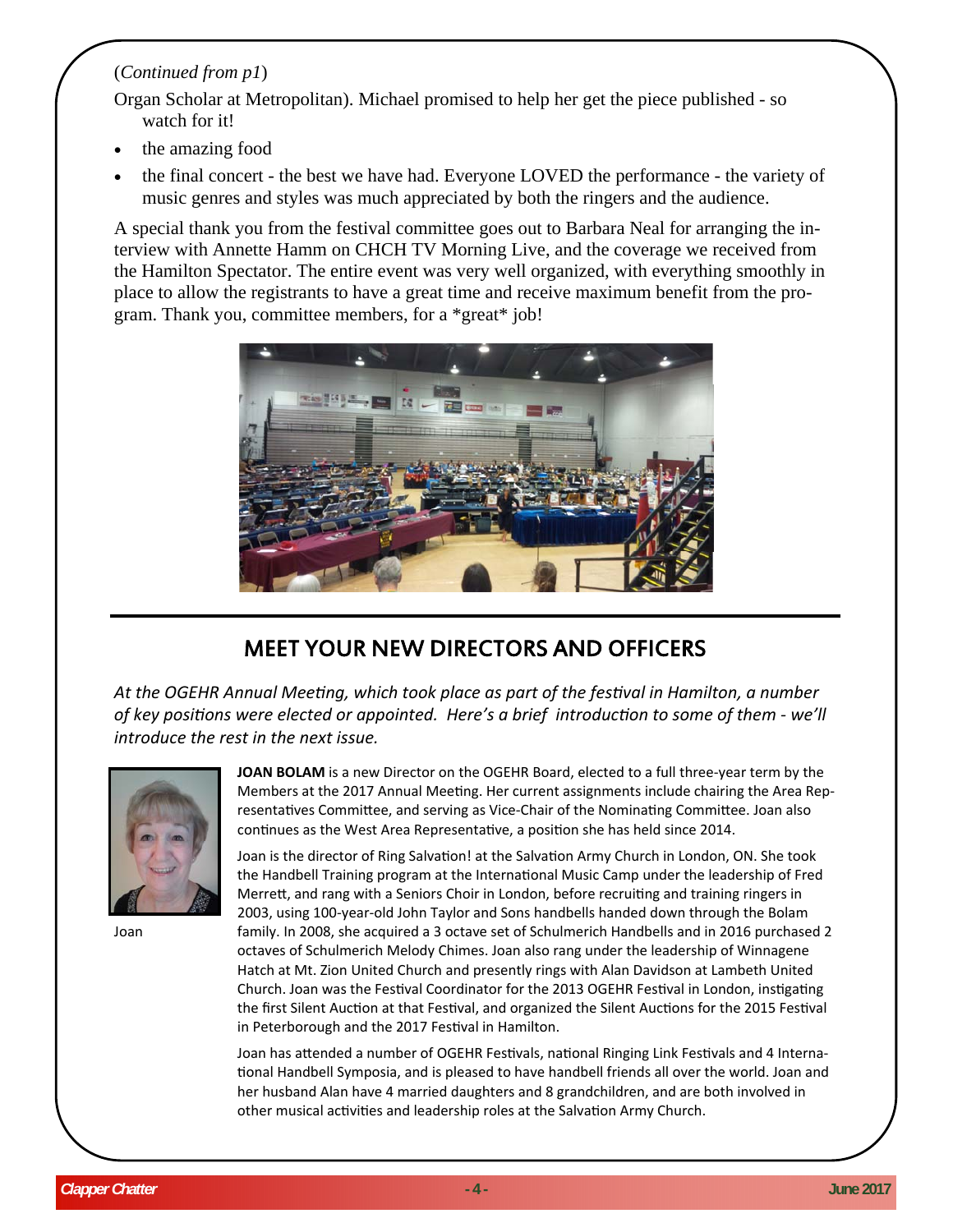## (*Continued from p1*)

Organ Scholar at Metropolitan). Michael promised to help her get the piece published - so watch for it!

- the amazing food
- the final concert the best we have had. Everyone LOVED the performance the variety of music genres and styles was much appreciated by both the ringers and the audience.

A special thank you from the festival committee goes out to Barbara Neal for arranging the interview with Annette Hamm on CHCH TV Morning Live, and the coverage we received from the Hamilton Spectator. The entire event was very well organized, with everything smoothly in place to allow the registrants to have a great time and receive maximum benefit from the program. Thank you, committee members, for a \*great\* job!



## MEET YOUR NEW DIRECTORS AND OFFICERS

*At the OGEHR Annual MeeƟng, which took place as part of the fesƟval in Hamilton, a number of key posiƟons were elected or appointed. Here's a brief introducƟon to some of them ‐ we'll introduce the rest in the next issue.* 



Joan

**JOAN BOLAM** is a new Director on the OGEHR Board, elected to a full three-year term by the Members at the 2017 Annual Meeting. Her current assignments include chairing the Area Representatives Committee, and serving as Vice-Chair of the Nominating Committee. Joan also continues as the West Area Representative, a position she has held since 2014.

Joan is the director of Ring Salvation! at the Salvation Army Church in London, ON. She took the Handbell Training program at the International Music Camp under the leadership of Fred Merrett, and rang with a Seniors Choir in London, before recruiting and training ringers in 2003, using 100-year-old John Taylor and Sons handbells handed down through the Bolam family. In 2008, she acquired a 3 octave set of Schulmerich Handbells and in 2016 purchased 2 octaves of Schulmerich Melody Chimes. Joan also rang under the leadership of Winnagene Hatch at Mt. Zion United Church and presently rings with Alan Davidson at Lambeth United Church. Joan was the Festival Coordinator for the 2013 OGEHR Festival in London, instigating the first Silent Auction at that Festival, and organized the Silent Auctions for the 2015 Festival in Peterborough and the 2017 Festival in Hamilton.

Joan has attended a number of OGEHR Festivals, national Ringing Link Festivals and 4 International Handbell Symposia, and is pleased to have handbell friends all over the world. Joan and her husband Alan have 4 married daughters and 8 grandchildren, and are both involved in other musical activities and leadership roles at the Salvation Army Church.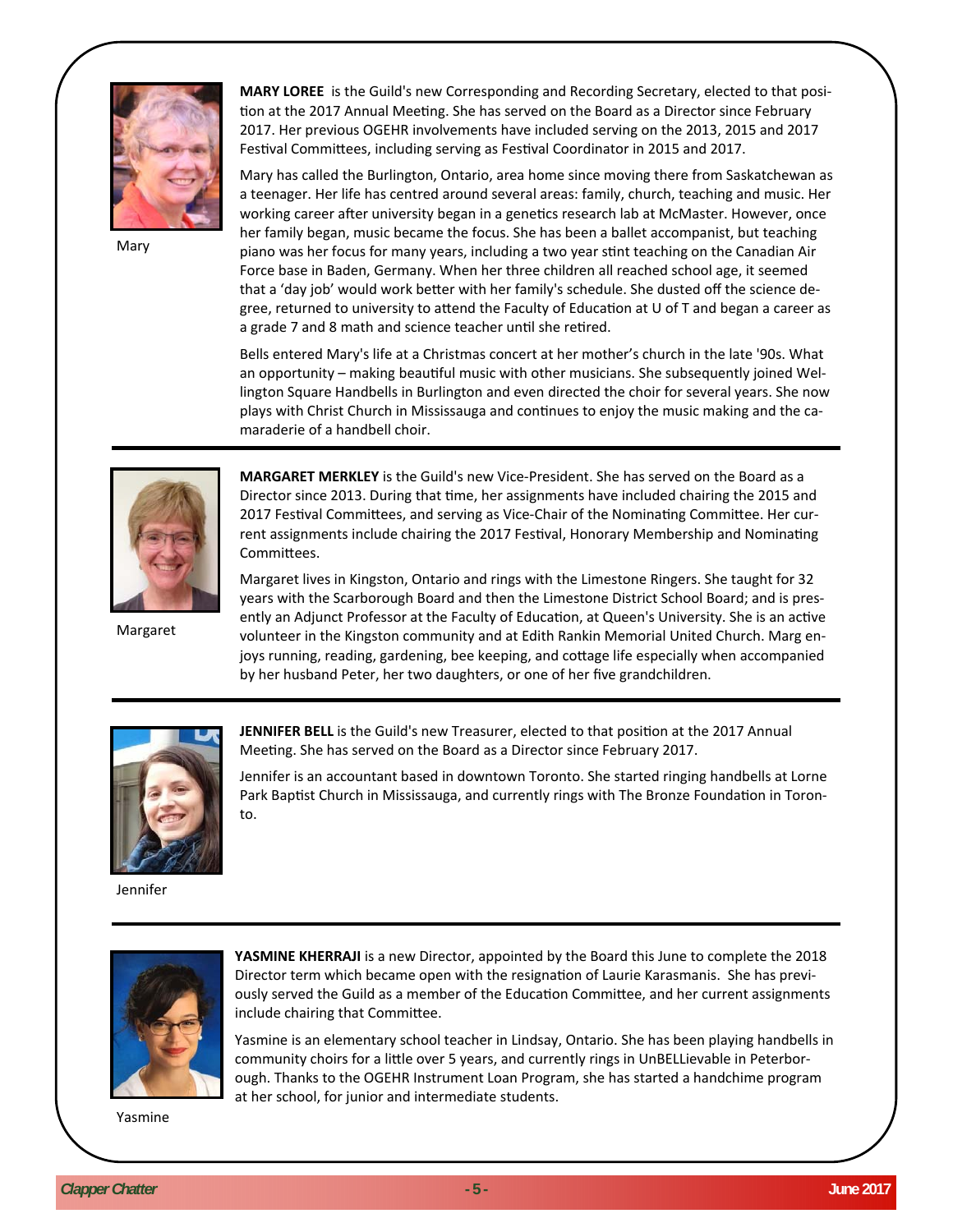

Mary

**MARY LOREE** is the Guild's new Corresponding and Recording Secretary, elected to that position at the 2017 Annual Meeting. She has served on the Board as a Director since February 2017. Her previous OGEHR involvements have included serving on the 2013, 2015 and 2017 Festival Committees, including serving as Festival Coordinator in 2015 and 2017.

Mary has called the Burlington, Ontario, area home since moving there from Saskatchewan as a teenager. Her life has centred around several areas: family, church, teaching and music. Her working career after university began in a genetics research lab at McMaster. However, once her family began, music became the focus. She has been a ballet accompanist, but teaching piano was her focus for many years, including a two year stint teaching on the Canadian Air Force base in Baden, Germany. When her three children all reached school age, it seemed that a 'day job' would work better with her family's schedule. She dusted off the science degree, returned to university to attend the Faculty of Education at U of T and began a career as a grade 7 and 8 math and science teacher until she retired.

Bells entered Mary's life at a Christmas concert at her mother's church in the late '90s. What an opportunity – making beautiful music with other musicians. She subsequently joined Wellington Square Handbells in Burlington and even directed the choir for several years. She now plays with Christ Church in Mississauga and continues to enjoy the music making and the camaraderie of a handbell choir.



Margaret

**MARGARET MERKLEY** is the Guild's new Vice-President. She has served on the Board as a Director since 2013. During that time, her assignments have included chairing the 2015 and 2017 Festival Committees, and serving as Vice-Chair of the Nominating Committee. Her current assignments include chairing the 2017 Festival, Honorary Membership and Nominating Committees.

Margaret lives in Kingston, Ontario and rings with the Limestone Ringers. She taught for 32 years with the Scarborough Board and then the Limestone District School Board; and is presently an Adjunct Professor at the Faculty of Education, at Queen's University. She is an active volunteer in the Kingston community and at Edith Rankin Memorial United Church. Marg enjoys running, reading, gardening, bee keeping, and cottage life especially when accompanied by her husband Peter, her two daughters, or one of her five grandchildren.



**JENNIFER BELL** is the Guild's new Treasurer, elected to that position at the 2017 Annual Meeting. She has served on the Board as a Director since February 2017.

Jennifer is an accountant based in downtown Toronto. She started ringing handbells at Lorne Park Baptist Church in Mississauga, and currently rings with The Bronze Foundation in Toronto.

Jennifer



**YASMINE KHERRAJI** is a new Director, appointed by the Board this June to complete the 2018 Director term which became open with the resignation of Laurie Karasmanis. She has previously served the Guild as a member of the Education Committee, and her current assignments include chairing that Committee.

Yasmine is an elementary school teacher in Lindsay, Ontario. She has been playing handbells in community choirs for a little over 5 years, and currently rings in UnBELLievable in Peterborough. Thanks to the OGEHR Instrument Loan Program, she has started a handchime program at her school, for junior and intermediate students.

Yasmine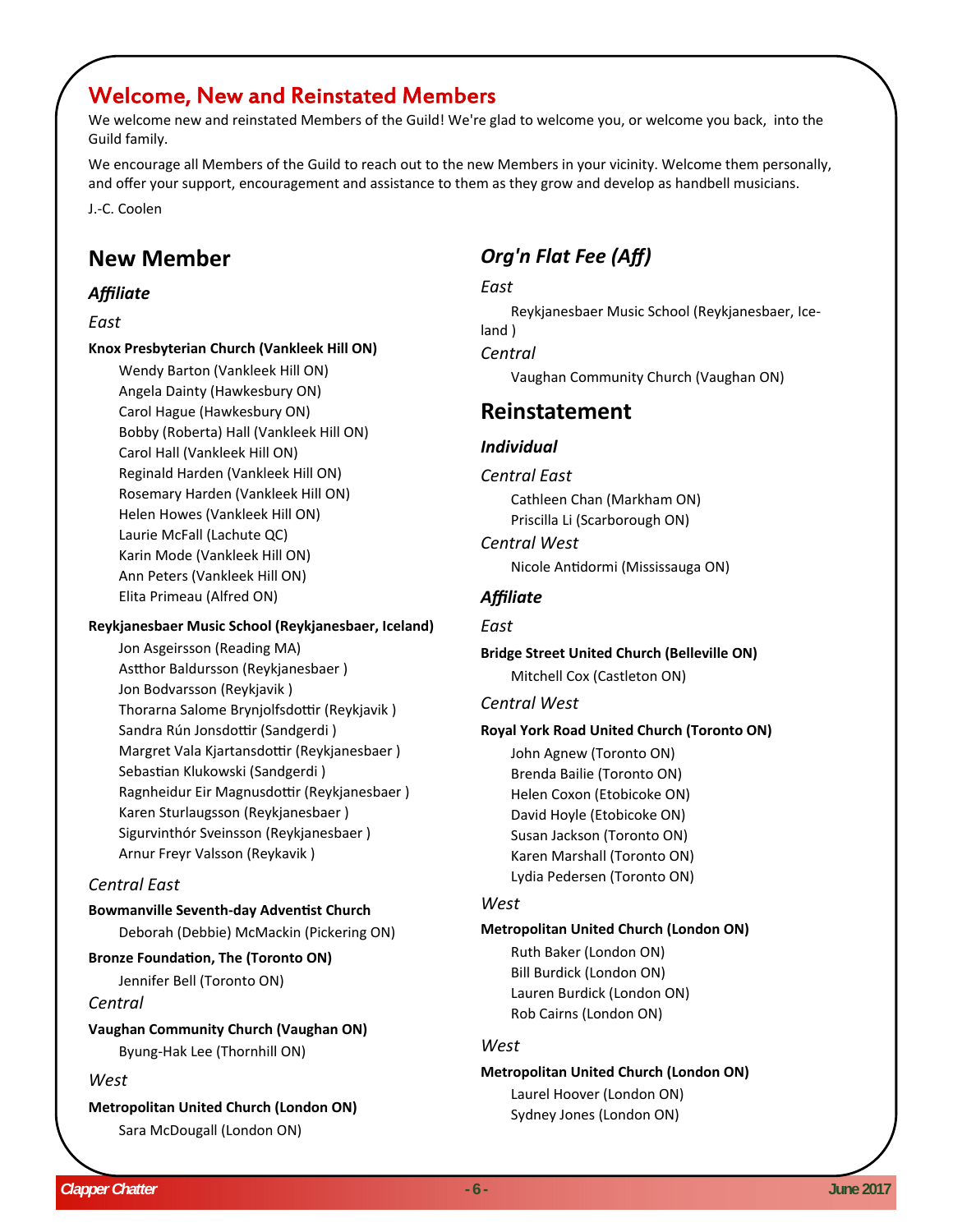## Welcome, New and Reinstated Members

We welcome new and reinstated Members of the Guild! We're glad to welcome you, or welcome you back, into the Guild family.

We encourage all Members of the Guild to reach out to the new Members in your vicinity. Welcome them personally, and offer your support, encouragement and assistance to them as they grow and develop as handbell musicians. J.-C. Coolen

## **New Member**

## *Affiliate*

## *East*

#### **Knox Presbyterian Church (Vankleek Hill ON)**

Wendy Barton (Vankleek Hill ON) Angela Dainty (Hawkesbury ON) Carol Hague (Hawkesbury ON) Bobby (Roberta) Hall (Vankleek Hill ON) Carol Hall (Vankleek Hill ON) Reginald Harden (Vankleek Hill ON) Rosemary Harden (Vankleek Hill ON) Helen Howes (Vankleek Hill ON) Laurie McFall (Lachute QC) Karin Mode (Vankleek Hill ON) Ann Peters (Vankleek Hill ON) Elita Primeau (Alfred ON)

## **Reykjanesbaer Music School (Reykjanesbaer, Iceland)**

Jon Asgeirsson (Reading MA) Astthor Baldursson (Reykjanesbaer ) Jon Bodvarsson (Reykjavik ) Thorarna Salome Brynjolfsdottir (Reykjavik) Sandra Rún Jonsdottir (Sandgerdi) Margret Vala Kjartansdottir (Reykjanesbaer) Sebastian Klukowski (Sandgerdi) Ragnheidur Eir Magnusdottir (Reykjanesbaer) Karen Sturlaugsson (Reykjanesbaer ) Sigurvinthór Sveinsson (Reykjanesbaer ) Arnur Freyr Valsson (Reykavik )

## *Central East*

## **Bowmanville Seventh‐day AdvenƟst Church**

Deborah (Debbie) McMackin (Pickering ON)

## **Bronze FoundaƟon, The (Toronto ON)**

Jennifer Bell (Toronto ON)

## *Central*

**Vaughan Community Church (Vaughan ON)** Byung-Hak Lee (Thornhill ON)

## *West*

**Metropolitan United Church (London ON)** Sara McDougall (London ON)

## *Org'n Flat Fee (Aff)*

## *East*

Reykjanesbaer Music School (Reykjanesbaer, Iceland ) *Central* Vaughan Community Church (Vaughan ON)

## **Reinstatement**

## *Individual*

## *Central East*

Cathleen Chan (Markham ON) Priscilla Li (Scarborough ON)

*Central West* Nicole AnƟdormi (Mississauga ON)

## *Affiliate*

## *East*

## **Bridge Street United Church (Belleville ON)** Mitchell Cox (Castleton ON)

## *Central West*

## **Royal York Road United Church (Toronto ON)**

John Agnew (Toronto ON) Brenda Bailie (Toronto ON) Helen Coxon (Etobicoke ON) David Hoyle (Etobicoke ON) Susan Jackson (Toronto ON) Karen Marshall (Toronto ON) Lydia Pedersen (Toronto ON)

## *West*

## **Metropolitan United Church (London ON)**

Ruth Baker (London ON) Bill Burdick (London ON) Lauren Burdick (London ON) Rob Cairns (London ON)

## *West*

## **Metropolitan United Church (London ON)**

Laurel Hoover (London ON) Sydney Jones (London ON)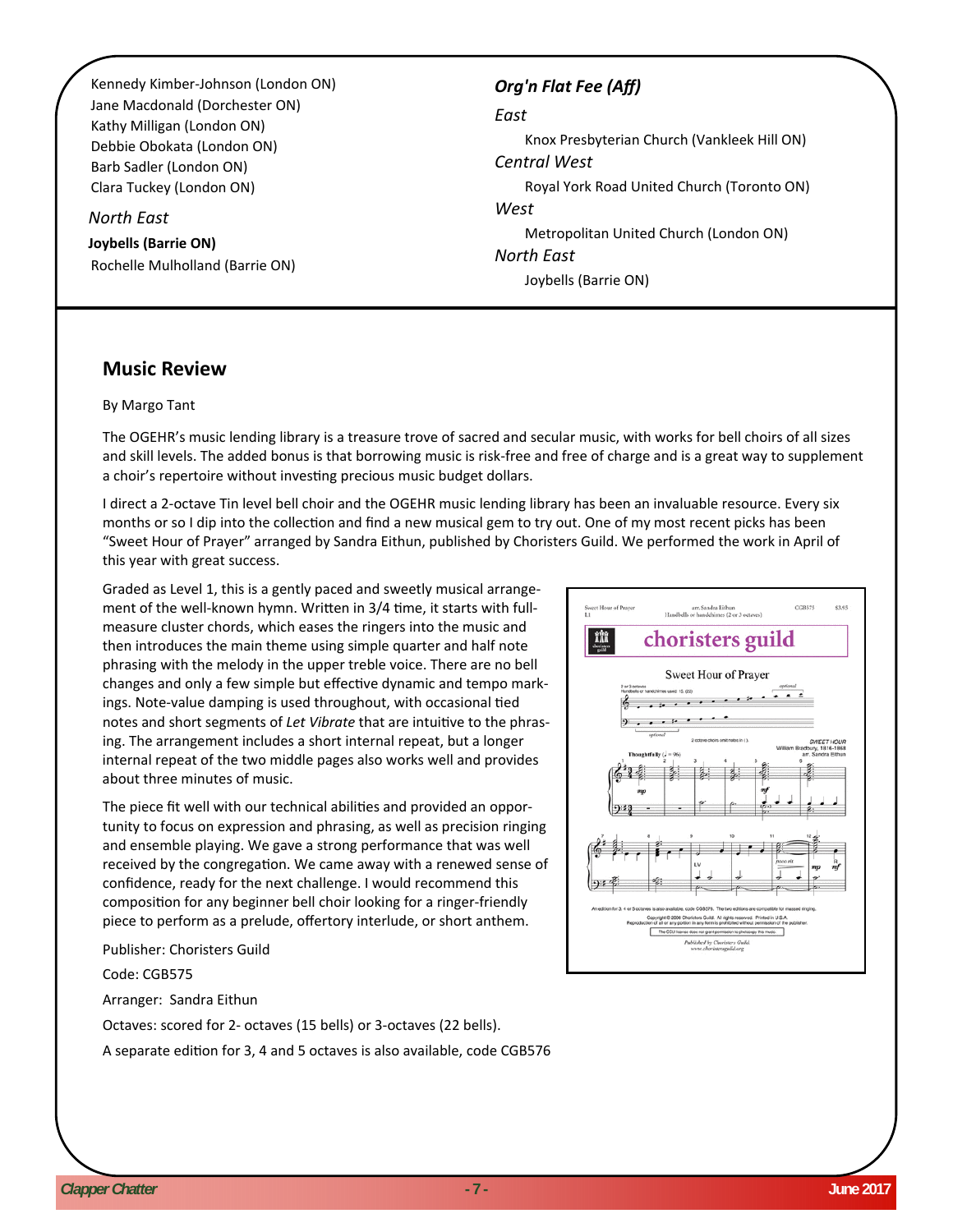Kennedy Kimber-Johnson (London ON) Jane Macdonald (Dorchester ON) Kathy Milligan (London ON) Debbie Obokata (London ON) Barb Sadler (London ON) Clara Tuckey (London ON)

#### *North East*

**Joybells (Barrie ON)** Rochelle Mulholland (Barrie ON)

## *Org'n Flat Fee (Aff)*

#### *East*

Knox Presbyterian Church (Vankleek Hill ON) *Central West* Royal York Road United Church (Toronto ON) *West* Metropolitan United Church (London ON) *North East*

Joybells (Barrie ON)

## **Music Review**

#### By Margo Tant

The OGEHR's music lending library is a treasure trove of sacred and secular music, with works for bell choirs of all sizes and skill levels. The added bonus is that borrowing music is risk-free and free of charge and is a great way to supplement a choir's repertoire without investing precious music budget dollars.

I direct a 2-octave Tin level bell choir and the OGEHR music lending library has been an invaluable resource. Every six months or so I dip into the collection and find a new musical gem to try out. One of my most recent picks has been "Sweet Hour of Prayer" arranged by Sandra Eithun, published by Choristers Guild. We performed the work in April of this year with great success.

Graded as Level 1, this is a gently paced and sweetly musical arrangement of the well-known hymn. Written in 3/4 time, it starts with fullmeasure cluster chords, which eases the ringers into the music and then introduces the main theme using simple quarter and half note phrasing with the melody in the upper treble voice. There are no bell changes and only a few simple but effective dynamic and tempo markings. Note-value damping is used throughout, with occasional tied notes and short segments of *Let Vibrate* that are intuitive to the phrasing. The arrangement includes a short internal repeat, but a longer internal repeat of the two middle pages also works well and provides about three minutes of music.

The piece fit well with our technical abilities and provided an opportunity to focus on expression and phrasing, as well as precision ringing and ensemble playing. We gave a strong performance that was well received by the congregation. We came away with a renewed sense of confidence, ready for the next challenge. I would recommend this composition for any beginner bell choir looking for a ringer-friendly piece to perform as a prelude, offertory interlude, or short anthem.

Publisher: Choristers Guild

Code: CGB575

Arranger: Sandra Eithun

Octaves: scored for 2- octaves (15 bells) or 3-octaves (22 bells).

A separate edition for 3, 4 and 5 octaves is also available, code CGB576

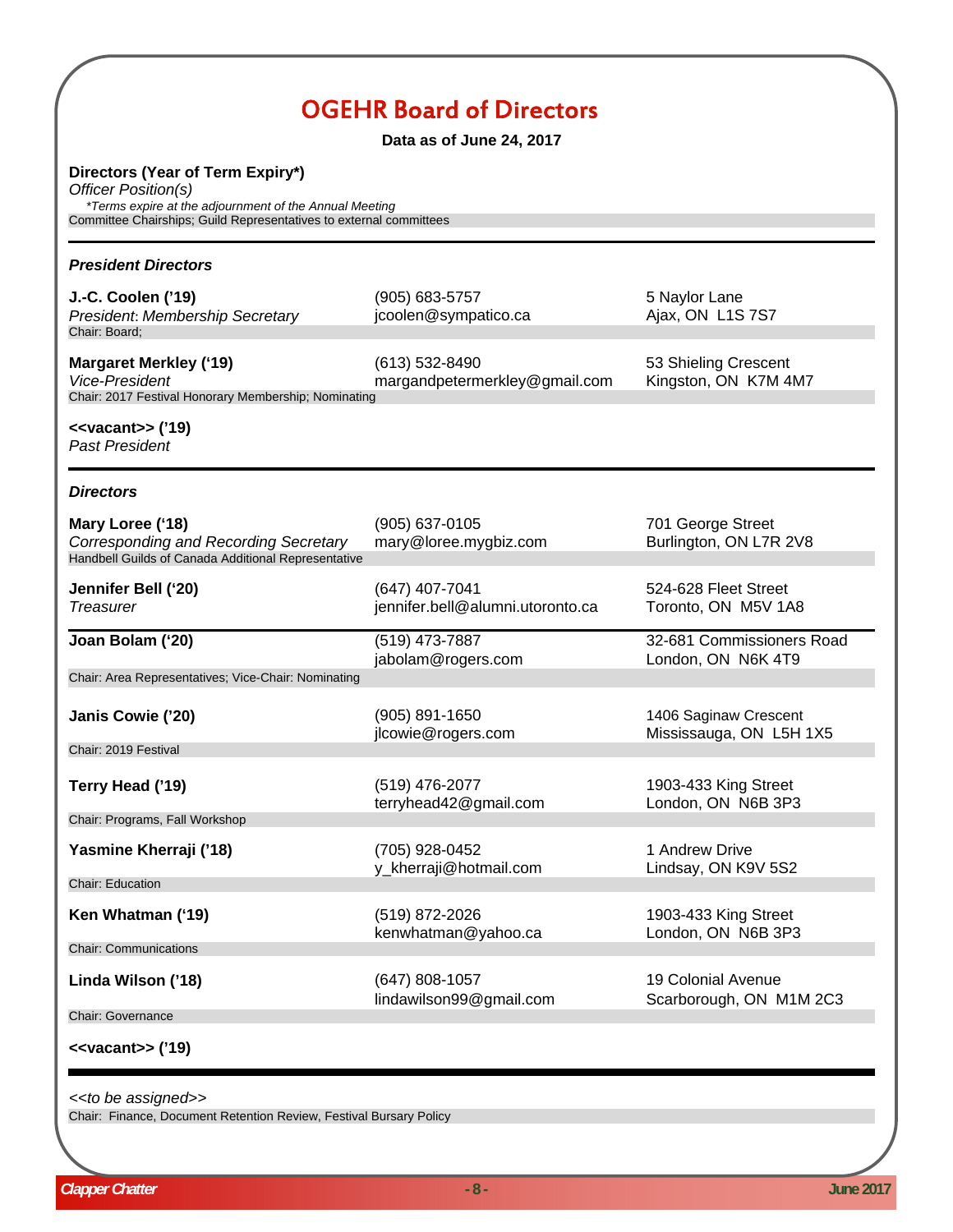## OGEHR Board of Directors

**Data as of June 24, 2017**

**Directors (Year of Term Expiry\*)**

*Officer Position(s) \*Terms expire at the adjournment of the Annual Meeting*

Committee Chairships; Guild Representatives to external committees

| <b>President Directors</b>                                                                                              |                                                    |                                                  |
|-------------------------------------------------------------------------------------------------------------------------|----------------------------------------------------|--------------------------------------------------|
| J.-C. Coolen ('19)<br>President: Membership Secretary<br>Chair: Board;                                                  | (905) 683-5757<br>jcoolen@sympatico.ca             | 5 Naylor Lane<br>Ajax, ON L1S 7S7                |
| <b>Margaret Merkley ('19)</b><br>Vice-President<br>Chair: 2017 Festival Honorary Membership; Nominating                 | (613) 532-8490<br>margandpetermerkley@gmail.com    | 53 Shieling Crescent<br>Kingston, ON K7M 4M7     |
| < <vacant>&gt; ('19)<br/><b>Past President</b></vacant>                                                                 |                                                    |                                                  |
| <b>Directors</b>                                                                                                        |                                                    |                                                  |
| Mary Loree ('18)<br><b>Corresponding and Recording Secretary</b><br>Handbell Guilds of Canada Additional Representative | (905) 637-0105<br>mary@loree.mygbiz.com            | 701 George Street<br>Burlington, ON L7R 2V8      |
| Jennifer Bell ('20)<br><b>Treasurer</b>                                                                                 | (647) 407-7041<br>jennifer.bell@alumni.utoronto.ca | 524-628 Fleet Street<br>Toronto, ON M5V 1A8      |
| Joan Bolam ('20)                                                                                                        | (519) 473-7887<br>jabolam@rogers.com               | 32-681 Commissioners Road<br>London, ON N6K 4T9  |
| Chair: Area Representatives; Vice-Chair: Nominating                                                                     |                                                    |                                                  |
| Janis Cowie ('20)                                                                                                       | (905) 891-1650<br>jlcowie@rogers.com               | 1406 Saginaw Crescent<br>Mississauga, ON L5H 1X5 |
| Chair: 2019 Festival                                                                                                    |                                                    |                                                  |
| Terry Head ('19)                                                                                                        | (519) 476-2077<br>terryhead42@gmail.com            | 1903-433 King Street<br>London, ON N6B 3P3       |
| Chair: Programs, Fall Workshop                                                                                          |                                                    |                                                  |
| Yasmine Kherraji ('18)                                                                                                  | (705) 928-0452<br>y_kherraji@hotmail.com           | 1 Andrew Drive<br>Lindsay, ON K9V 5S2            |
| <b>Chair: Education</b>                                                                                                 |                                                    |                                                  |
| Ken Whatman ('19)                                                                                                       | (519) 872-2026<br>kenwhatman@yahoo.ca              | 1903-433 King Street<br>London, ON N6B 3P3       |
| <b>Chair: Communications</b>                                                                                            |                                                    |                                                  |
| Linda Wilson ('18)                                                                                                      | (647) 808-1057<br>lindawilson99@gmail.com          | 19 Colonial Avenue<br>Scarborough, ON M1M 2C3    |
| <b>Chair: Governance</b>                                                                                                |                                                    |                                                  |
| < <vacant>&gt; ('19)</vacant>                                                                                           |                                                    |                                                  |

*<<to be assigned>>*

Chair: Finance, Document Retention Review, Festival Bursary Policy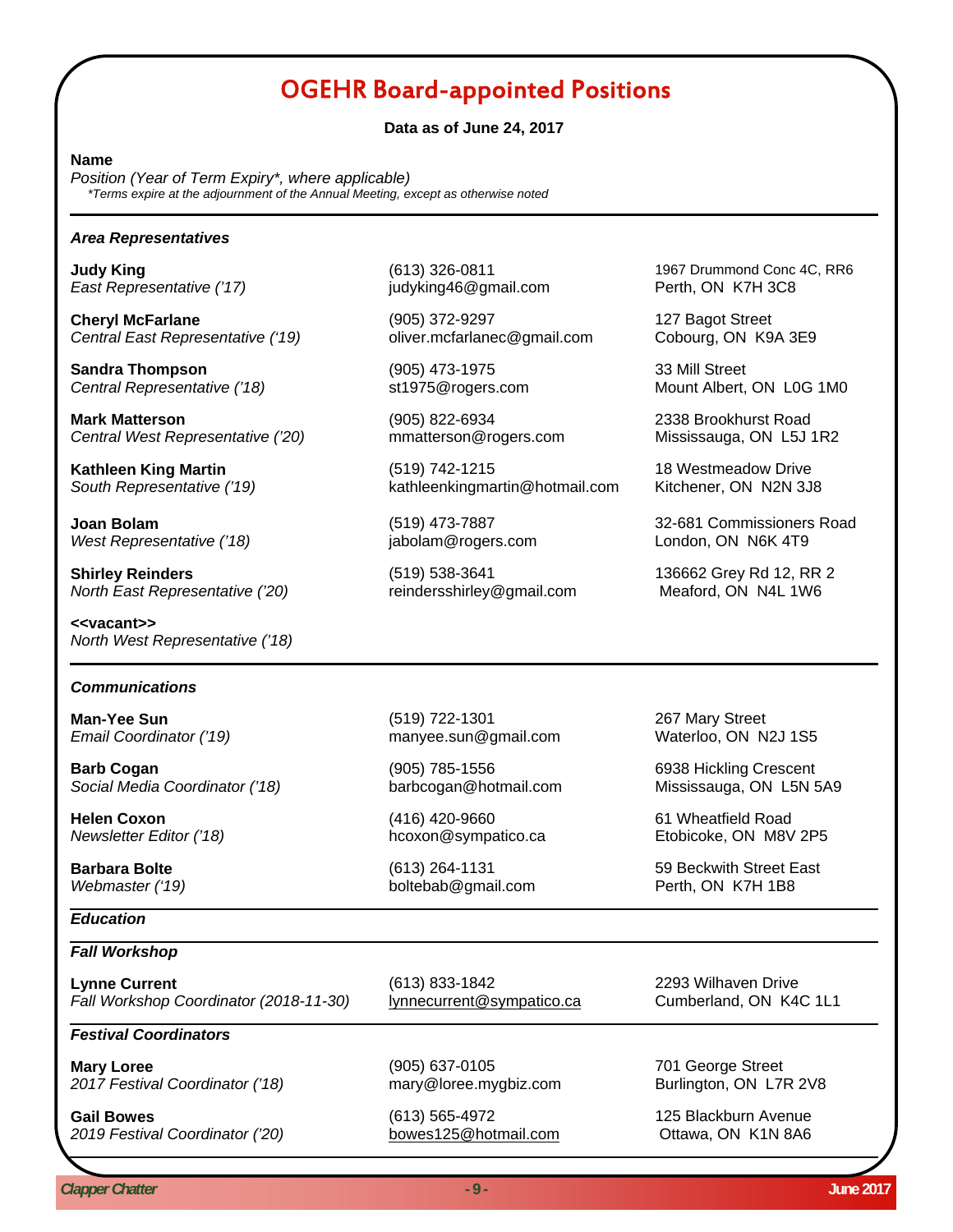## OGEHR Board-appointed Positions

#### **Data as of June 24, 2017**

#### **Name**

*Position (Year of Term Expiry\*, where applicable) \*Terms expire at the adjournment of the Annual Meeting, except as otherwise noted*

#### *Area Representatives*

*East Representative ('17)* judyking46@gmail.com Perth, ON K7H 3C8

**Cheryl McFarlane** 127 Bagot Street *Central East Representative ('19)* oliver.mcfarlanec@gmail.com Cobourg, ON K9A 3E9

**Sandra Thompson** (905) 473-1975 33 Mill Street

**Mark Matterson** (905) 822-6934 2338 Brookhurst Road *Central West Representative ('20)* mmatterson@rogers.com Mississauga, ON L5J 1R2

*West Representative ('18)* jabolam@rogers.com London, ON N6K 4T9

**Shirley Reinders Comparent Comparent Comparent Comparent Comparent Comparent Comparent Comparent Comparent Comparent Comparent Comparent Comparent Comparent Comparent Comparent Comparent Comparent Comparent Comparent Co** *North East Representative ('20)* reindersshirley@gmail.com Meaford, ON N4L 1W6

**<<vacant>>** *North West Representative ('18)*

#### *Communications*

**Barb Cogan bigger and Cogan** (905) 785-1556 **6938 Hickling Crescent** Social Media Coordinator ('18) barbcogan@hotmail.com Mississauga, ON L5N 5A9

**Helen Coxon Example 2018** (416) 420-9660 **61 Wheatfield Road** 

#### *Education*

#### *Fall Workshop*

Lynne Current **Current** (613) 833-1842 **2293 Wilhaven Drive**<br>
Fall Workshop Coordinator (2018-11-30) lynnecurrent@sympatico.ca Cumberland, ON K4C 1L1 *Fall Workshop Coordinator (2018-11-30)* lynnecurrent@sympatico.ca

#### *Festival Coordinators*

**Mary Loree Contract Contract (905) 637-0105 701 George Street** 2017 Festival Coordinator ('18) mary@loree.mygbiz.com Burlington, ON L7R 2V8

**Gail Bowes** (613) 565-4972 125 Blackburn Avenue 2019 Festival Coordinator ('20) bowes125@hotmail.com Cttawa, ON K1N 8A6

**Kathleen King Martin**<br>
South Representative ('19) <br>
kathleenkingmartin@hotmail.com Kitchener, ON N2N 3J8 **South Representative ('19)** kathleenkingmartin@hotmail.com

**Judy King Example 20 Transformation (613) 326-0811 1967** Drummond Conc 4C, RR6

**Central Representative ('18)** st1975@rogers.com Mount Albert, ON L0G 1M0

**Joan Bolam** (519) 473-7887 32-681 Commissioners Road

**Man-Yee Sun** (519) 722-1301 267 Mary Street *Email Coordinator ('19)* manyee.sun@gmail.com

*Webmaster ('19)* boltebab@gmail.com Perth, ON K7H 1B8

*Newsletter Editor ('18)* hcoxon@sympatico.ca Etobicoke, ON M8V 2P5

**Barbara Bolte Contract East** (613) 264-1131 **59 Beckwith Street East**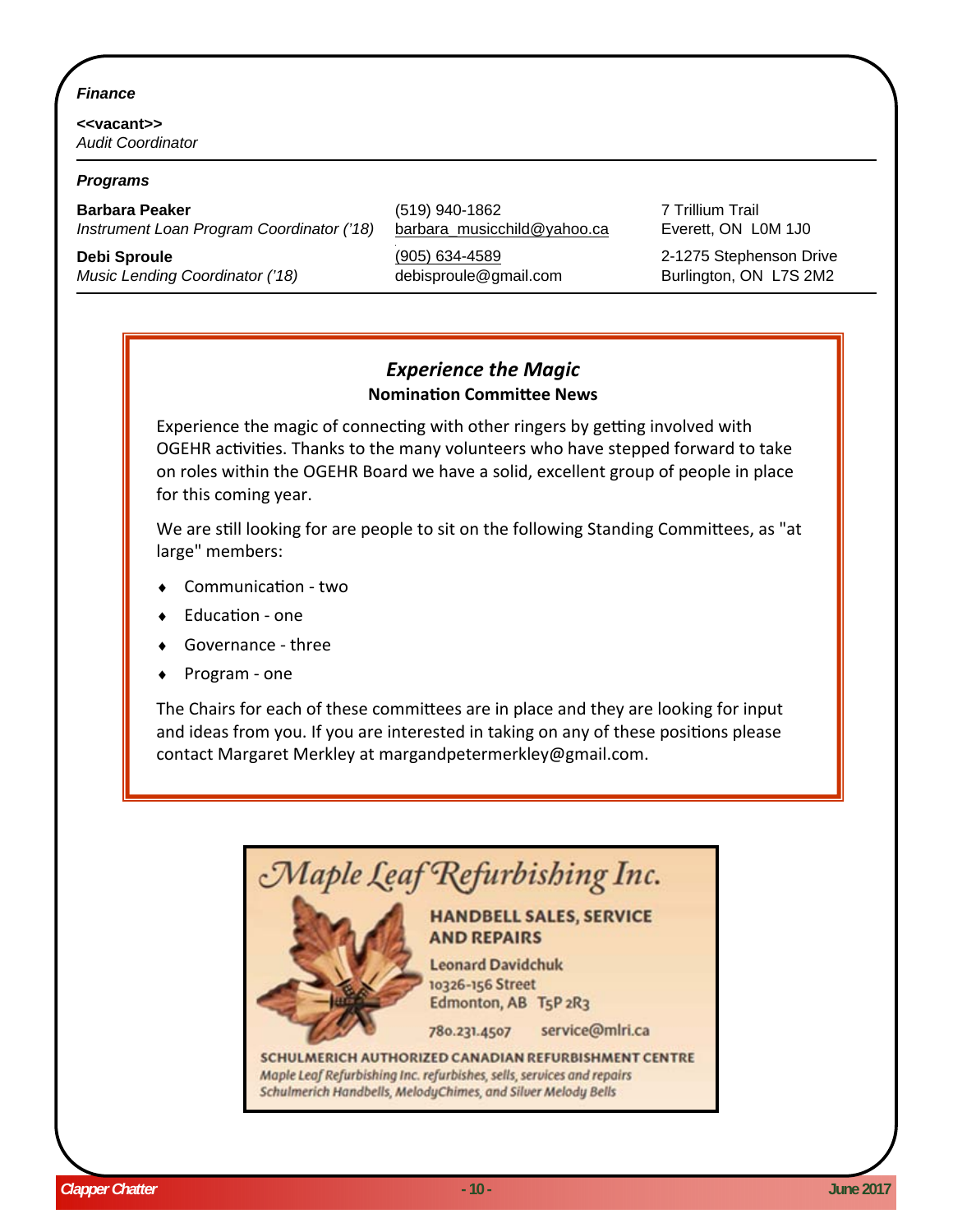## *Finance*

**<<vacant>>** *Audit Coordinator*

#### *Programs*

*Instrument Loan Program Coordinator ('18)* barbara\_musicchild@yahoo.ca Everett, ON L0M 1J0

*Music Lending Coordinator ('18)* debisproule@gmail.com Burlington, ON L7S 2M2

**Barbara Peaker** (519) 940-1862 7 Trillium Trail **Debi Sproule Constant Constant (905) 634-4589** 2-1275 Stephenson Drive

## *Experience the Magic* **NominaƟon CommiƩee News**

Experience the magic of connecting with other ringers by getting involved with OGEHR activities. Thanks to the many volunteers who have stepped forward to take on roles within the OGEHR Board we have a solid, excellent group of people in place for this coming year.

We are still looking for are people to sit on the following Standing Committees, as "at large" members:

- CommunicaƟon two
- EducaƟon one
- Governance three
- Program one

The Chairs for each of these committees are in place and they are looking for input and ideas from you. If you are interested in taking on any of these positions please contact Margaret Merkley at margandpetermerkley@gmail.com.